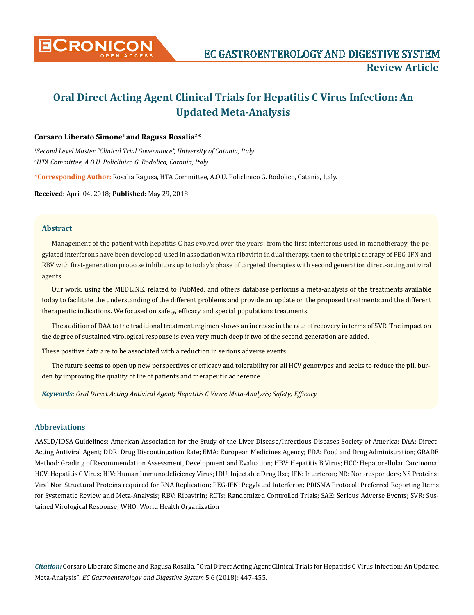

# **Oral Direct Acting Agent Clinical Trials for Hepatitis C Virus Infection: An Updated Meta-Analysis**

# **Corsaro Liberato Simone1 and Ragusa Rosalia2\***

*1 Second Level Master "Clinical Trial Governance", University of Catania, Italy 2 HTA Committee, A.O.U. Policlinico G. Rodolico, Catania, Italy*

**\*Corresponding Author:** Rosalia Ragusa, HTA Committee, A.O.U. Policlinico G. Rodolico, Catania, Italy.

**Received:** April 04, 2018; **Published:** May 29, 2018

# **Abstract**

Management of the patient with hepatitis C has evolved over the years: from the first interferons used in monotherapy, the pegylated interferons have been developed, used in association with ribavirin in dual therapy, then to the triple therapy of PEG-IFN and RBV with first-generation protease inhibitors up to today's phase of targeted therapies with second generation direct-acting antiviral agents.

Our work, using the MEDLINE, related to PubMed, and others database performs a meta-analysis of the treatments available today to facilitate the understanding of the different problems and provide an update on the proposed treatments and the different therapeutic indications. We focused on safety, efficacy and special populations treatments.

The addition of DAA to the traditional treatment regimen shows an increase in the rate of recovery in terms of SVR. The impact on the degree of sustained virological response is even very much deep if two of the second generation are added.

These positive data are to be associated with a reduction in serious adverse events

The future seems to open up new perspectives of efficacy and tolerability for all HCV genotypes and seeks to reduce the pill burden by improving the quality of life of patients and therapeutic adherence.

*Keywords: Oral Direct Acting Antiviral Agent; Hepatitis C Virus; Meta-Analysis; Safety; Efficacy*

# **Abbreviations**

AASLD/IDSA Guidelines: American Association for the Study of the Liver Disease/Infectious Diseases Society of America; DAA: Direct-Acting Antiviral Agent; DDR: Drug Discontinuation Rate; EMA: European Medicines Agency; FDA: Food and Drug Administration; GRADE Method: Grading of Recommendation Assessment, Development and Evaluation; HBV: Hepatitis B Virus; HCC: Hepatocellular Carcinoma; HCV: Hepatitis C Virus; HIV: Human Immunodeficiency Virus; IDU: Injectable Drug Use; IFN: Interferon; NR: Non-responders; NS Proteins: Viral Non Structural Proteins required for RNA Replication; PEG-IFN: Pegylated Interferon; PRISMA Protocol: Preferred Reporting Items for Systematic Review and Meta-Analysis; RBV: Ribavirin; RCTs: Randomized Controlled Trials; SAE: Serious Adverse Events; SVR: Sustained Virological Response; WHO: World Health Organization

*Citation:* Corsaro Liberato Simone and Ragusa Rosalia. "Oral Direct Acting Agent Clinical Trials for Hepatitis C Virus Infection: An Updated Meta-Analysis". *EC Gastroenterology and Digestive System* 5.6 (2018): 447-455.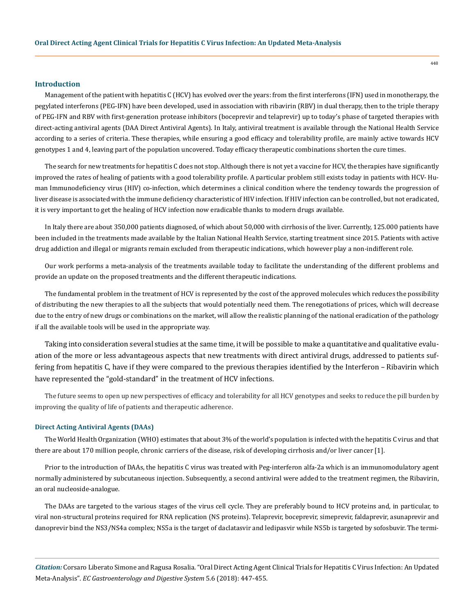## **Introduction**

Management of the patient with hepatitis C (HCV) has evolved over the years: from the first interferons (IFN) used in monotherapy, the pegylated interferons (PEG-IFN) have been developed, used in association with ribavirin (RBV) in dual therapy, then to the triple therapy of PEG-IFN and RBV with first-generation protease inhibitors (boceprevir and telaprevir) up to today's phase of targeted therapies with direct-acting antiviral agents (DAA Direct Antiviral Agents). In Italy, antiviral treatment is available through the National Health Service according to a series of criteria. These therapies, while ensuring a good efficacy and tolerability profile, are mainly active towards HCV genotypes 1 and 4, leaving part of the population uncovered. Today efficacy therapeutic combinations shorten the cure times.

The search for new treatments for hepatitis C does not stop. Although there is not yet a vaccine for HCV, the therapies have significantly improved the rates of healing of patients with a good tolerability profile. A particular problem still exists today in patients with HCV- Human Immunodeficiency virus (HIV) co-infection, which determines a clinical condition where the tendency towards the progression of liver disease is associated with the immune deficiency characteristic of HIV infection. If HIV infection can be controlled, but not eradicated, it is very important to get the healing of HCV infection now eradicable thanks to modern drugs available.

In Italy there are about 350,000 patients diagnosed, of which about 50,000 with cirrhosis of the liver. Currently, 125.000 patients have been included in the treatments made available by the Italian National Health Service, starting treatment since 2015. Patients with active drug addiction and illegal or migrants remain excluded from therapeutic indications, which however play a non-indifferent role.

Our work performs a meta-analysis of the treatments available today to facilitate the understanding of the different problems and provide an update on the proposed treatments and the different therapeutic indications.

The fundamental problem in the treatment of HCV is represented by the cost of the approved molecules which reduces the possibility of distributing the new therapies to all the subjects that would potentially need them. The renegotiations of prices, which will decrease due to the entry of new drugs or combinations on the market, will allow the realistic planning of the national eradication of the pathology if all the available tools will be used in the appropriate way.

Taking into consideration several studies at the same time, it will be possible to make a quantitative and qualitative evaluation of the more or less advantageous aspects that new treatments with direct antiviral drugs, addressed to patients suffering from hepatitis C, have if they were compared to the previous therapies identified by the Interferon – Ribavirin which have represented the "gold-standard" in the treatment of HCV infections.

The future seems to open up new perspectives of efficacy and tolerability for all HCV genotypes and seeks to reduce the pill burden by improving the quality of life of patients and therapeutic adherence.

#### **Direct Acting Antiviral Agents (DAAs)**

The World Health Organization (WHO) estimates that about 3% of the world's population is infected with the hepatitis C virus and that there are about 170 million people, chronic carriers of the disease, risk of developing cirrhosis and/or liver cancer [1].

Prior to the introduction of DAAs, the hepatitis C virus was treated with Peg-interferon alfa-2a which is an immunomodulatory agent normally administered by subcutaneous injection. Subsequently, a second antiviral were added to the treatment regimen, the Ribavirin, an oral nucleoside-analogue.

The DAAs are targeted to the various stages of the virus cell cycle. They are preferably bound to HCV proteins and, in particular, to viral non-structural proteins required for RNA replication (NS proteins). Telaprevir, boceprevir, simeprevir, faldaprevir, asunaprevir and danoprevir bind the NS3/NS4a complex; NS5a is the target of daclatasvir and ledipasvir while NS5b is targeted by sofosbuvir. The termi-

*Citation:* Corsaro Liberato Simone and Ragusa Rosalia. "Oral Direct Acting Agent Clinical Trials for Hepatitis C Virus Infection: An Updated Meta-Analysis". *EC Gastroenterology and Digestive System* 5.6 (2018): 447-455.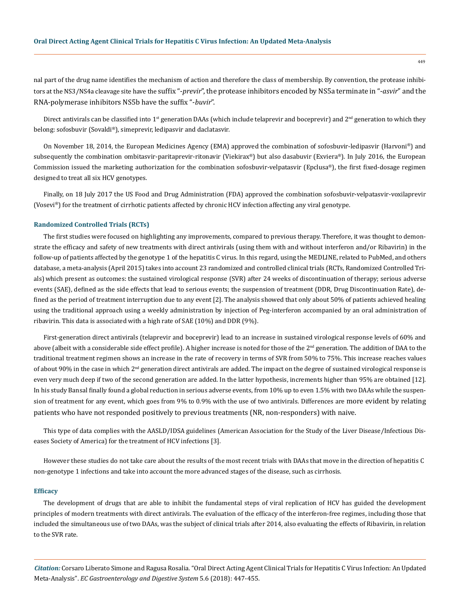nal part of the drug name identifies the mechanism of action and therefore the class of membership. By convention, the protease inhibitors at the NS3/NS4a cleavage site have the suffix "-*previr*", the protease inhibitors encoded by NS5a terminate in "-*asvir*" and the RNA-polymerase inhibitors NS5b have the suffix "-*buvir*".

Direct antivirals can be classified into  $1<sup>st</sup>$  generation DAAs (which include telaprevir and boceprevir) and  $2<sup>nd</sup>$  generation to which they belong: sofosbuvir (Sovaldi®), simeprevir, ledipasvir and daclatasvir.

On November 18, 2014, the European Medicines Agency (EMA) approved the combination of sofosbuvir-ledipasvir (Harvoni®) and subsequently the combination ombitasvir-paritaprevir-ritonavir (Viekirax®) but also dasabuvir (Exviera®). In July 2016, the European Commission issued the marketing authorization for the combination sofosbuvir-velpatasvir (Epclusa®), the first fixed-dosage regimen designed to treat all six HCV genotypes.

Finally, on 18 July 2017 the US Food and Drug Administration (FDA) approved the combination sofosbuvir-velpatasvir-voxilaprevir (Vosevi®) for the treatment of cirrhotic patients affected by chronic HCV infection affecting any viral genotype.

## **Randomized Controlled Trials (RCTs)**

The first studies were focused on highlighting any improvements, compared to previous therapy. Therefore, it was thought to demonstrate the efficacy and safety of new treatments with direct antivirals (using them with and without interferon and/or Ribavirin) in the follow-up of patients affected by the genotype 1 of the hepatitis C virus. In this regard, using the MEDLINE, related to PubMed, and others database, a meta-analysis (April 2015) takes into account 23 randomized and controlled clinical trials (RCTs, Randomized Controlled Trials) which present as outcomes: the sustained virological response (SVR) after 24 weeks of discontinuation of therapy; serious adverse events (SAE), defined as the side effects that lead to serious events; the suspension of treatment (DDR, Drug Discontinuation Rate), defined as the period of treatment interruption due to any event [2]. The analysis showed that only about 50% of patients achieved healing using the traditional approach using a weekly administration by injection of Peg-interferon accompanied by an oral administration of ribavirin. This data is associated with a high rate of SAE (10%) and DDR (9%).

First-generation direct antivirals (telaprevir and boceprevir) lead to an increase in sustained virological response levels of 60% and above (albeit with a considerable side effect profile). A higher increase is noted for those of the 2<sup>nd</sup> generation. The addition of DAA to the traditional treatment regimen shows an increase in the rate of recovery in terms of SVR from 50% to 75%. This increase reaches values of about 90% in the case in which 2<sup>nd</sup> generation direct antivirals are added. The impact on the degree of sustained virological response is even very much deep if two of the second generation are added. In the latter hypothesis, increments higher than 95% are obtained [12]. In his study Bansal finally found a global reduction in serious adverse events, from 10% up to even 1.5% with two DAAs while the suspension of treatment for any event, which goes from 9% to 0.9% with the use of two antivirals. Differences are more evident by relating patients who have not responded positively to previous treatments (NR, non-responders) with naive.

This type of data complies with the AASLD/IDSA guidelines (American Association for the Study of the Liver Disease/Infectious Diseases Society of America) for the treatment of HCV infections [3].

However these studies do not take care about the results of the most recent trials with DAAs that move in the direction of hepatitis C non-genotype 1 infections and take into account the more advanced stages of the disease, such as cirrhosis.

#### **Efficacy**

The development of drugs that are able to inhibit the fundamental steps of viral replication of HCV has guided the development principles of modern treatments with direct antivirals. The evaluation of the efficacy of the interferon-free regimes, including those that included the simultaneous use of two DAAs, was the subject of clinical trials after 2014, also evaluating the effects of Ribavirin, in relation to the SVR rate.

*Citation:* Corsaro Liberato Simone and Ragusa Rosalia. "Oral Direct Acting Agent Clinical Trials for Hepatitis C Virus Infection: An Updated Meta-Analysis". *EC Gastroenterology and Digestive System* 5.6 (2018): 447-455.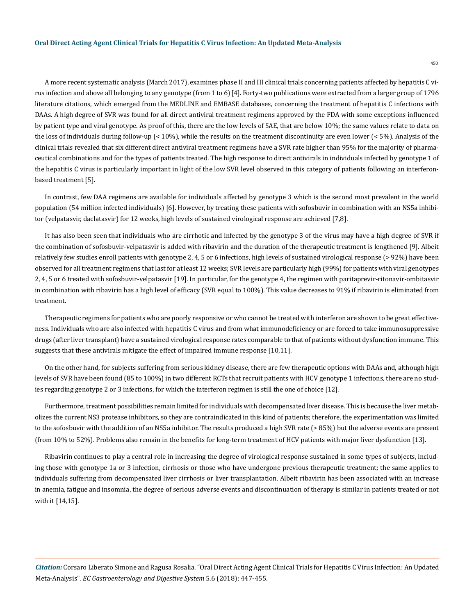A more recent systematic analysis (March 2017), examines phase II and III clinical trials concerning patients affected by hepatitis C virus infection and above all belonging to any genotype (from 1 to 6)[4]. Forty-two publications were extracted from a larger group of 1796 literature citations, which emerged from the MEDLINE and EMBASE databases, concerning the treatment of hepatitis C infections with DAAs. A high degree of SVR was found for all direct antiviral treatment regimens approved by the FDA with some exceptions influenced by patient type and viral genotype. As proof of this, there are the low levels of SAE, that are below 10%; the same values relate to data on the loss of individuals during follow-up (< 10%), while the results on the treatment discontinuity are even lower (< 5%). Analysis of the clinical trials revealed that six different direct antiviral treatment regimens have a SVR rate higher than 95% for the majority of pharmaceutical combinations and for the types of patients treated. The high response to direct antivirals in individuals infected by genotype 1 of the hepatitis C virus is particularly important in light of the low SVR level observed in this category of patients following an interferonbased treatment [5].

In contrast, few DAA regimens are available for individuals affected by genotype 3 which is the second most prevalent in the world population (54 million infected individuals) [6]. However, by treating these patients with sofosbuvir in combination with an NS5a inhibitor (velpatasvir, daclatasvir) for 12 weeks, high levels of sustained virological response are achieved [7,8].

It has also been seen that individuals who are cirrhotic and infected by the genotype 3 of the virus may have a high degree of SVR if the combination of sofosbuvir-velpatasvir is added with ribavirin and the duration of the therapeutic treatment is lengthened [9]. Albeit relatively few studies enroll patients with genotype 2, 4, 5 or 6 infections, high levels of sustained virological response (> 92%) have been observed for all treatment regimens that last for at least 12 weeks; SVR levels are particularly high (99%) for patients with viral genotypes 2, 4, 5 or 6 treated with sofosbuvir-velpatasvir [19]. In particular, for the genotype 4, the regimen with paritaprevir-ritonavir-ombitasvir in combination with ribavirin has a high level of efficacy (SVR equal to 100%). This value decreases to 91% if ribavirin is eliminated from treatment.

Therapeutic regimens for patients who are poorly responsive or who cannot be treated with interferon are shown to be great effectiveness. Individuals who are also infected with hepatitis C virus and from what immunodeficiency or are forced to take immunosuppressive drugs (after liver transplant) have a sustained virological response rates comparable to that of patients without dysfunction immune. This suggests that these antivirals mitigate the effect of impaired immune response [10,11].

On the other hand, for subjects suffering from serious kidney disease, there are few therapeutic options with DAAs and, although high levels of SVR have been found (85 to 100%) in two different RCTs that recruit patients with HCV genotype 1 infections, there are no studies regarding genotype 2 or 3 infections, for which the interferon regimen is still the one of choice [12].

Furthermore, treatment possibilities remain limited for individuals with decompensated liver disease. This is because the liver metabolizes the current NS3 protease inhibitors, so they are contraindicated in this kind of patients; therefore, the experimentation was limited to the sofosbuvir with the addition of an NS5a inhibitor. The results produced a high SVR rate (> 85%) but the adverse events are present (from 10% to 52%). Problems also remain in the benefits for long-term treatment of HCV patients with major liver dysfunction [13].

Ribavirin continues to play a central role in increasing the degree of virological response sustained in some types of subjects, including those with genotype 1a or 3 infection, cirrhosis or those who have undergone previous therapeutic treatment; the same applies to individuals suffering from decompensated liver cirrhosis or liver transplantation. Albeit ribavirin has been associated with an increase in anemia, fatigue and insomnia, the degree of serious adverse events and discontinuation of therapy is similar in patients treated or not with it [14,15].

*Citation:* Corsaro Liberato Simone and Ragusa Rosalia. "Oral Direct Acting Agent Clinical Trials for Hepatitis C Virus Infection: An Updated Meta-Analysis". *EC Gastroenterology and Digestive System* 5.6 (2018): 447-455.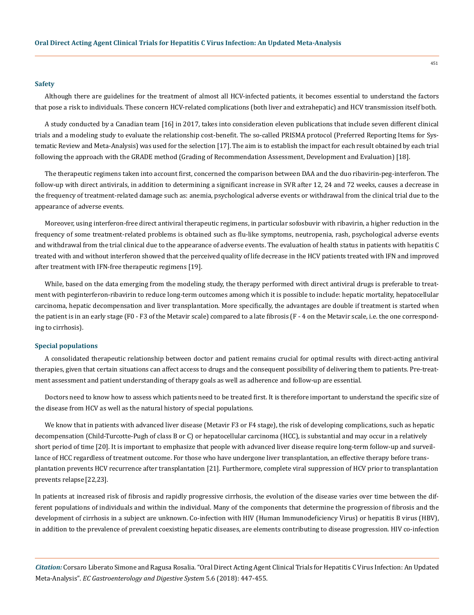#### **Safety**

Although there are guidelines for the treatment of almost all HCV-infected patients, it becomes essential to understand the factors that pose a risk to individuals. These concern HCV-related complications (both liver and extrahepatic) and HCV transmission itself both.

A study conducted by a Canadian team [16] in 2017, takes into consideration eleven publications that include seven different clinical trials and a modeling study to evaluate the relationship cost-benefit. The so-called PRISMA protocol (Preferred Reporting Items for Systematic Review and Meta-Analysis) was used for the selection [17]. The aim is to establish the impact for each result obtained by each trial following the approach with the GRADE method (Grading of Recommendation Assessment, Development and Evaluation) [18].

The therapeutic regimens taken into account first, concerned the comparison between DAA and the duo ribavirin-peg-interferon. The follow-up with direct antivirals, in addition to determining a significant increase in SVR after 12, 24 and 72 weeks, causes a decrease in the frequency of treatment-related damage such as: anemia, psychological adverse events or withdrawal from the clinical trial due to the appearance of adverse events.

Moreover, using interferon-free direct antiviral therapeutic regimens, in particular sofosbuvir with ribavirin, a higher reduction in the frequency of some treatment-related problems is obtained such as flu-like symptoms, neutropenia, rash, psychological adverse events and withdrawal from the trial clinical due to the appearance of adverse events. The evaluation of health status in patients with hepatitis C treated with and without interferon showed that the perceived quality of life decrease in the HCV patients treated with IFN and improved after treatment with IFN-free therapeutic regimens [19].

While, based on the data emerging from the modeling study, the therapy performed with direct antiviral drugs is preferable to treatment with peginterferon-ribavirin to reduce long-term outcomes among which it is possible to include: hepatic mortality, hepatocellular carcinoma, hepatic decompensation and liver transplantation. More specifically, the advantages are double if treatment is started when the patient is in an early stage (F0 - F3 of the Metavir scale) compared to a late fibrosis (F - 4 on the Metavir scale, i.e. the one corresponding to cirrhosis).

### **Special populations**

A consolidated therapeutic relationship between doctor and patient remains crucial for optimal results with direct-acting antiviral therapies, given that certain situations can affect access to drugs and the consequent possibility of delivering them to patients. Pre-treatment assessment and patient understanding of therapy goals as well as adherence and follow-up are essential.

Doctors need to know how to assess which patients need to be treated first. It is therefore important to understand the specific size of the disease from HCV as well as the natural history of special populations.

We know that in patients with advanced liver disease (Metavir F3 or F4 stage), the risk of developing complications, such as hepatic decompensation (Child-Turcotte-Pugh of class B or C) or hepatocellular carcinoma (HCC), is substantial and may occur in a relatively short period of time [20]. It is important to emphasize that people with advanced liver disease require long-term follow-up and surveillance of HCC regardless of treatment outcome. For those who have undergone liver transplantation, an effective therapy before transplantation prevents HCV recurrence after transplantation [21]. Furthermore, complete viral suppression of HCV prior to transplantation prevents relapse [22,23].

In patients at increased risk of fibrosis and rapidly progressive cirrhosis, the evolution of the disease varies over time between the different populations of individuals and within the individual. Many of the components that determine the progression of fibrosis and the development of cirrhosis in a subject are unknown. Co-infection with HIV (Human Immunodeficiency Virus) or hepatitis B virus (HBV), in addition to the prevalence of prevalent coexisting hepatic diseases, are elements contributing to disease progression. HIV co-infection

*Citation:* Corsaro Liberato Simone and Ragusa Rosalia. "Oral Direct Acting Agent Clinical Trials for Hepatitis C Virus Infection: An Updated Meta-Analysis". *EC Gastroenterology and Digestive System* 5.6 (2018): 447-455.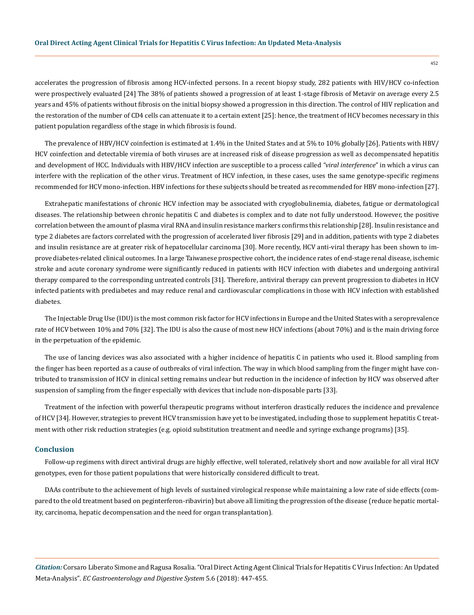accelerates the progression of fibrosis among HCV-infected persons. In a recent biopsy study, 282 patients with HIV/HCV co-infection were prospectively evaluated [24] The 38% of patients showed a progression of at least 1-stage fibrosis of Metavir on average every 2.5 years and 45% of patients without fibrosis on the initial biopsy showed a progression in this direction. The control of HIV replication and the restoration of the number of CD4 cells can attenuate it to a certain extent [25]: hence, the treatment of HCV becomes necessary in this patient population regardless of the stage in which fibrosis is found.

The prevalence of HBV/HCV coinfection is estimated at 1.4% in the United States and at 5% to 10% globally [26]. Patients with HBV/ HCV coinfection and detectable viremia of both viruses are at increased risk of disease progression as well as decompensated hepatitis and development of HCC. Individuals with HBV/HCV infection are susceptible to a process called *"viral interference*" in which a virus can interfere with the replication of the other virus. Treatment of HCV infection, in these cases, uses the same genotype-specific regimens recommended for HCV mono-infection. HBV infections for these subjects should be treated as recommended for HBV mono-infection [27].

Extrahepatic manifestations of chronic HCV infection may be associated with cryoglobulinemia, diabetes, fatigue or dermatological diseases. The relationship between chronic hepatitis C and diabetes is complex and to date not fully understood. However, the positive correlation between the amount of plasma viral RNA and insulin resistance markers confirms this relationship [28]. Insulin resistance and type 2 diabetes are factors correlated with the progression of accelerated liver fibrosis [29] and in addition, patients with type 2 diabetes and insulin resistance are at greater risk of hepatocellular carcinoma [30]. More recently, HCV anti-viral therapy has been shown to improve diabetes-related clinical outcomes. In a large Taiwanese prospective cohort, the incidence rates of end-stage renal disease, ischemic stroke and acute coronary syndrome were significantly reduced in patients with HCV infection with diabetes and undergoing antiviral therapy compared to the corresponding untreated controls [31]. Therefore, antiviral therapy can prevent progression to diabetes in HCV infected patients with prediabetes and may reduce renal and cardiovascular complications in those with HCV infection with established diabetes.

The Injectable Drug Use (IDU) is the most common risk factor for HCV infections in Europe and the United States with a seroprevalence rate of HCV between 10% and 70% [32]. The IDU is also the cause of most new HCV infections (about 70%) and is the main driving force in the perpetuation of the epidemic.

The use of lancing devices was also associated with a higher incidence of hepatitis C in patients who used it. Blood sampling from the finger has been reported as a cause of outbreaks of viral infection. The way in which blood sampling from the finger might have contributed to transmission of HCV in clinical setting remains unclear but reduction in the incidence of infection by HCV was observed after suspension of sampling from the finger especially with devices that include non-disposable parts [33].

Treatment of the infection with powerful therapeutic programs without interferon drastically reduces the incidence and prevalence of HCV [34]. However, strategies to prevent HCV transmission have yet to be investigated, including those to supplement hepatitis C treatment with other risk reduction strategies (e.g. opioid substitution treatment and needle and syringe exchange programs) [35].

# **Conclusion**

Follow-up regimens with direct antiviral drugs are highly effective, well tolerated, relatively short and now available for all viral HCV genotypes, even for those patient populations that were historically considered difficult to treat.

DAAs contribute to the achievement of high levels of sustained virological response while maintaining a low rate of side effects (compared to the old treatment based on peginterferon-ribavirin) but above all limiting the progression of the disease (reduce hepatic mortality, carcinoma, hepatic decompensation and the need for organ transplantation).

*Citation:* Corsaro Liberato Simone and Ragusa Rosalia. "Oral Direct Acting Agent Clinical Trials for Hepatitis C Virus Infection: An Updated Meta-Analysis". *EC Gastroenterology and Digestive System* 5.6 (2018): 447-455.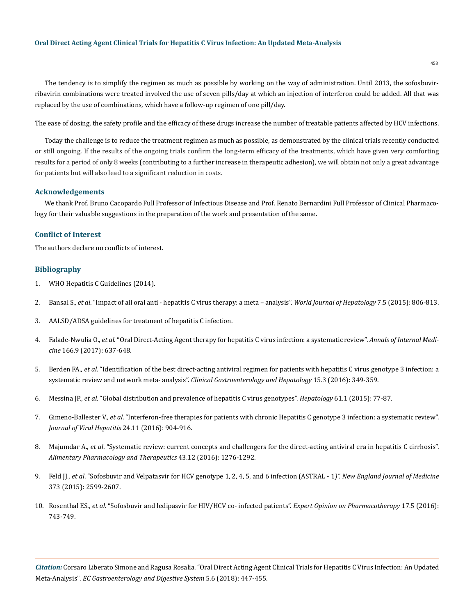The tendency is to simplify the regimen as much as possible by working on the way of administration. Until 2013, the sofosbuvirribavirin combinations were treated involved the use of seven pills/day at which an injection of interferon could be added. All that was replaced by the use of combinations, which have a follow-up regimen of one pill/day.

The ease of dosing, the safety profile and the efficacy of these drugs increase the number of treatable patients affected by HCV infections.

Today the challenge is to reduce the treatment regimen as much as possible, as demonstrated by the clinical trials recently conducted or still ongoing. If the results of the ongoing trials confirm the long-term efficacy of the treatments, which have given very comforting results for a period of only 8 weeks (contributing to a further increase in therapeutic adhesion), we will obtain not only a great advantage for patients but will also lead to a significant reduction in costs.

## **Acknowledgements**

We thank Prof. Bruno Cacopardo Full Professor of Infectious Disease and Prof. Renato Bernardini Full Professor of Clinical Pharmacology for their valuable suggestions in the preparation of the work and presentation of the same.

# **Conflict of Interest**

The authors declare no conflicts of interest.

# **Bibliography**

- 1. [WHO Hepatitis C Guidelines \(2014\).](http://www.who.int/hiv/pub/hepatitis/hepatitis-c-guidelines/en)
- 2. Bansal S., *et al*[. "Impact of all oral anti hepatitis C virus therapy: a meta analysis".](https://www.ncbi.nlm.nih.gov/pubmed/25914781) *World Journal of Hepatology* 7.5 (2015): 806-813.
- 3. [AALSD/ADSA guidelines for treatment of hepatitis C infection.](http://www.hcvguidelines.org)
- 4. Falade-Nwulia O., *et al*[. "Oral Direct-Acting Agent therapy for hepatitis C virus infection: a systematic review".](https://www.ncbi.nlm.nih.gov/pubmed/28319996) *Annals of Internal Medicine* [166.9 \(2017\): 637-648.](https://www.ncbi.nlm.nih.gov/pubmed/28319996)
- 5. Berden FA., *et al*[. "Identification of the best direct-acting antiviral regimen for patients with hepatitis C virus genotype 3 infection: a](https://www.ncbi.nlm.nih.gov/pubmed/27840182)  [systematic review and network meta- analysis".](https://www.ncbi.nlm.nih.gov/pubmed/27840182) *Clinical Gastroenterology and Hepatology* 15.3 (2016): 349-359.
- 6. Messina JP., *et al*[. "Global distribution and prevalence of hepatitis C virus genotypes".](https://www.ncbi.nlm.nih.gov/pubmed/25069599) *Hepatology* 61.1 (2015): 77-87.
- 7. Gimeno-Ballester V., *et al*[. "Interferon-free therapies for patients with chronic Hepatitis C genotype 3 infection: a systematic review".](https://www.ncbi.nlm.nih.gov/pubmed/27925386)  *[Journal of Viral Hepatitis](https://www.ncbi.nlm.nih.gov/pubmed/27925386)* 24.11 (2016): 904-916.
- 8. Majumdar A., *et al*[. "Systematic review: current concepts and challengers for the direct-acting antiviral era in hepatitis C cirrhosis".](https://www.ncbi.nlm.nih.gov/pubmed/27087015)  *[Alimentary Pharmacology and Therapeutics](https://www.ncbi.nlm.nih.gov/pubmed/27087015)* 43.12 (2016): 1276-1292.
- 9. Feld JJ., *et al*[. "Sofosbuvir and Velpatasvir for HCV genotype 1, 2, 4, 5, and 6 infection \(ASTRAL 1](https://www.nejm.org/doi/full/10.1056/NEJMoa1512610)*)". New England Journal of Medicine*  [373 \(2015\): 2599-2607.](https://www.nejm.org/doi/full/10.1056/NEJMoa1512610)
- 10. Rosenthal ES., *et al*[. "Sofosbuvir and ledipasvir for HIV/HCV co- infected patients".](https://www.ncbi.nlm.nih.gov/pubmed/26898158) *Expert Opinion on Pharmacotherapy* 17.5 (2016): [743-749.](https://www.ncbi.nlm.nih.gov/pubmed/26898158)

*Citation:* Corsaro Liberato Simone and Ragusa Rosalia. "Oral Direct Acting Agent Clinical Trials for Hepatitis C Virus Infection: An Updated Meta-Analysis". *EC Gastroenterology and Digestive System* 5.6 (2018): 447-455.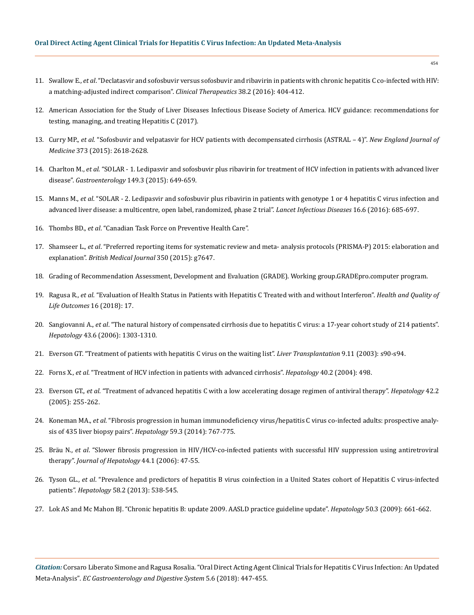# **Oral Direct Acting Agent Clinical Trials for Hepatitis C Virus Infection: An Updated Meta-Analysis**

- 11. Swallow E., *et al*[. "Declatasvir and sofosbuvir versus sofosbuvir and ribavirin in patients with chronic hepatitis C co-infected with HIV:](https://www.ncbi.nlm.nih.gov/pubmed/26839044)  [a matching-adjusted indirect comparison".](https://www.ncbi.nlm.nih.gov/pubmed/26839044) *Clinical Therapeutics* 38.2 (2016): 404-412.
- 12. [American Association for the Study of Liver Diseases Infectious Disease Society of America. HCV guidance: recommendations for](https://www.hcvguidelines.org/) [testing, managing, and treating Hepatitis C \(2017\).](https://www.hcvguidelines.org/)
- 13. Curry MP., *et al*[. "Sofosbuvir and velpatasvir for HCV patients with decompensated cirrhosis \(ASTRAL 4\)".](https://www.nejm.org/doi/full/10.1056/NEJMoa1512614) *New England Journal of Medicine* [373 \(2015\): 2618-2628.](https://www.nejm.org/doi/full/10.1056/NEJMoa1512614)
- 14. Charlton M., *et al*[. "SOLAR 1. Ledipasvir and sofosbuvir plus ribavirin for treatment of HCV infection in patients with advanced liver](https://www.ncbi.nlm.nih.gov/pubmed/25985734)  disease". *Gastroenterology* [149.3 \(2015\): 649-659.](https://www.ncbi.nlm.nih.gov/pubmed/25985734)
- 15. Manns M., *et al*[. "SOLAR 2. Ledipasvir and sofosbuvir plus ribavirin in patients with genotype 1 or 4 hepatitis C virus infection and](https://www.ncbi.nlm.nih.gov/pubmed/26907736)  [advanced liver disease: a multicentre, open label, randomized, phase 2 trial".](https://www.ncbi.nlm.nih.gov/pubmed/26907736) *Lancet Infectious Diseases* 16.6 (2016): 685-697.
- 16. Thombs BD., *et al*. "Canadian Task Force on Preventive Health Care".
- 17. Shamseer L., *et al*[. "Preferred reporting items for systematic review and meta- analysis protocols \(PRISMA-P\) 2015: elaboration and](https://www.ncbi.nlm.nih.gov/pubmed/25555855)  explanation". *[British Medical Journal](https://www.ncbi.nlm.nih.gov/pubmed/25555855)* 350 (2015): g7647.
- 18. [Grading of Recommendation Assessment, Development and Evaluation \(GRADE\). Working group.GRADEpro.computer program.](https://gradepro.org/)
- 19. Ragusa R., *et al*[. "Evaluation of Health Status in Patients with Hepatitis C Treated with and without Interferon".](https://www.ncbi.nlm.nih.gov/pmc/articles/PMC5773186/) *Health and Quality of [Life Outcomes](https://www.ncbi.nlm.nih.gov/pmc/articles/PMC5773186/)* 16 (2018): 17.
- 20. Sangiovanni A., *et al*[. "The natural history of compensated cirrhosis due to hepatitis C virus: a 17-year cohort study of 214 patients".](https://www.ncbi.nlm.nih.gov/pubmed/16729298)  *Hepatology* [43.6 \(2006\): 1303-1310.](https://www.ncbi.nlm.nih.gov/pubmed/16729298)
- 21. [Everson GT. "Treatment of patients with hepatitis C virus on the waiting list".](https://www.ncbi.nlm.nih.gov/pubmed/14586902) *Liver Transplantation* 9.11 (2003): s90-s94.
- 22. Forns X., *et al*[. "Treatment of HCV infection in patients with advanced cirrhosis".](https://www.ncbi.nlm.nih.gov/pubmed/15368458) *Hepatology* 40.2 (2004): 498.
- 23. Everson GT., *et al*[. "Treatment of advanced hepatitis C with a low accelerating dosage regimen of antiviral therapy".](https://www.ncbi.nlm.nih.gov/pubmed/16025497) *Hepatology* 42.2 [\(2005\): 255-262.](https://www.ncbi.nlm.nih.gov/pubmed/16025497)
- 24. Koneman MA., *et al*[. "Fibrosis progression in human immunodeficiency virus/hepatitis C virus co-infected adults: prospective analy](https://www.ncbi.nlm.nih.gov/pmc/articles/PMC3943751/)[sis of 435 liver biopsy pairs".](https://www.ncbi.nlm.nih.gov/pmc/articles/PMC3943751/) *Hepatology* 59.3 (2014): 767-775.
- 25. Bräu N., *et al*[. "Slower fibrosis progression in HIV/HCV-co-infected patients with successful HIV suppression using antiretroviral](https://www.ncbi.nlm.nih.gov/pubmed/16182404)  therapy". *[Journal of Hepatology](https://www.ncbi.nlm.nih.gov/pubmed/16182404)* 44.1 (2006): 47-55.
- 26. Tyson GL., *et al*[. "Prevalence and predictors of hepatitis B virus coinfection in a United States cohort of Hepatitis C virus-infected](https://www.ncbi.nlm.nih.gov/pubmed/23505059)  patients". *Hepatology* [58.2 \(2013\): 538-545.](https://www.ncbi.nlm.nih.gov/pubmed/23505059)
- 27. [Lok AS and Mc Mahon BJ. "Chronic hepatitis B: update 2009. AASLD practice guideline update".](https://www.ncbi.nlm.nih.gov/pubmed/19714720) *Hepatology* 50.3 (2009): 661-662.

*Citation:* Corsaro Liberato Simone and Ragusa Rosalia. "Oral Direct Acting Agent Clinical Trials for Hepatitis C Virus Infection: An Updated Meta-Analysis". *EC Gastroenterology and Digestive System* 5.6 (2018): 447-455.